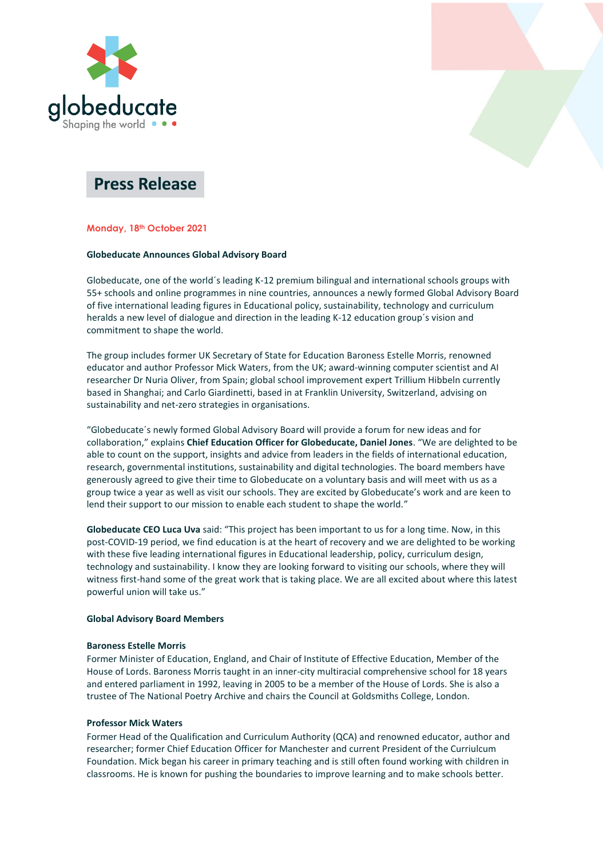



# **Press Release**

# **Monday, 18th October 2021**

#### **Globeducate Announces Global Advisory Board**

Globeducate, one of the world´s leading K-12 premium bilingual and international schools groups with 55+ schools and online programmes in nine countries, announces a newly formed Global Advisory Board of five international leading figures in Educational policy, sustainability, technology and curriculum heralds a new level of dialogue and direction in the leading K-12 education group´s vision and commitment to shape the world.

The group includes former UK Secretary of State for Education Baroness Estelle Morris, renowned educator and author Professor Mick Waters, from the UK; award-winning computer scientist and AI researcher Dr Nuria Oliver, from Spain; global school improvement expert Trillium Hibbeln currently based in Shanghai; and Carlo Giardinetti, based in at Franklin University, Switzerland, advising on sustainability and net-zero strategies in organisations.

"Globeducate´s newly formed Global Advisory Board will provide a forum for new ideas and for collaboration," explains **Chief Education Officer for Globeducate, Daniel Jones**. "We are delighted to be able to count on the support, insights and advice from leaders in the fields of international education, research, governmental institutions, sustainability and digital technologies. The board members have generously agreed to give their time to Globeducate on a voluntary basis and will meet with us as a group twice a year as well as visit our schools. They are excited by Globeducate's work and are keen to lend their support to our mission to enable each student to shape the world."

**Globeducate CEO Luca Uva** said: "This project has been important to us for a long time. Now, in this post-COVID-19 period, we find education is at the heart of recovery and we are delighted to be working with these five leading international figures in Educational leadership, policy, curriculum design, technology and sustainability. I know they are looking forward to visiting our schools, where they will witness first-hand some of the great work that is taking place. We are all excited about where this latest powerful union will take us."

# **Global Advisory Board Members**

#### **Baroness Estelle Morris**

Former Minister of Education, England, and Chair of Institute of Effective Education, Member of the House of Lords. Baroness Morris taught in an inner-city multiracial comprehensive school for 18 years and entered parliament in 1992, leaving in 2005 to be a member of the House of Lords. She is also a trustee of The National Poetry Archive and chairs the Council at Goldsmiths College, London.

# **Professor Mick Waters**

Former Head of the Qualification and Curriculum Authority (QCA) and renowned educator, author and researcher; former Chief Education Officer for Manchester and current President of the Curriulcum Foundation. Mick began his career in primary teaching and is still often found working with children in classrooms. He is known for pushing the boundaries to improve learning and to make schools better.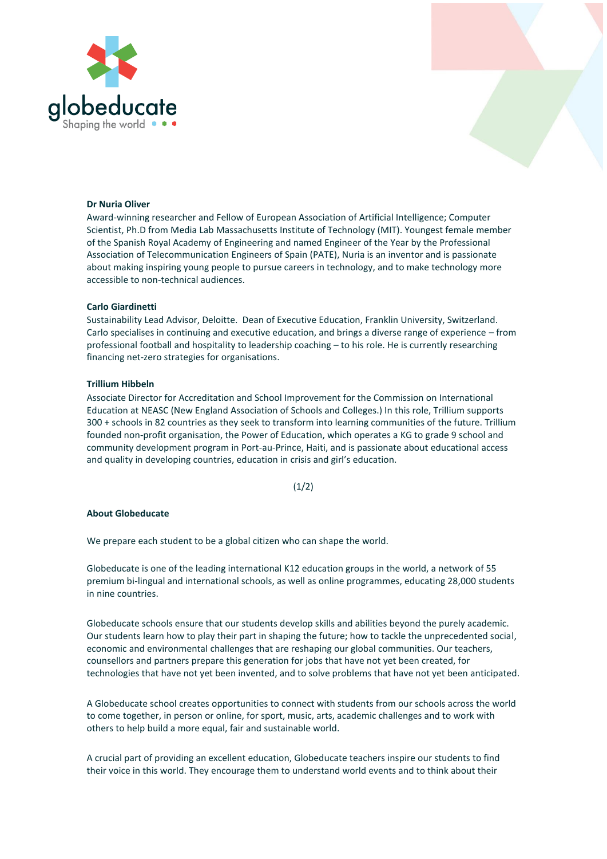



#### **Dr Nuria Oliver**

Award-winning researcher and Fellow of European Association of Artificial Intelligence; Computer Scientist, Ph.D from Media Lab Massachusetts Institute of Technology (MIT). Youngest female member of the Spanish Royal Academy of Engineering and named Engineer of the Year by the Professional Association of Telecommunication Engineers of Spain (PATE), Nuria is an inventor and is passionate about making inspiring young people to pursue careers in technology, and to make technology more accessible to non-technical audiences.

#### **Carlo Giardinetti**

Sustainability Lead Advisor, Deloitte. Dean of Executive Education, Franklin University, Switzerland. Carlo specialises in continuing and executive education, and brings a diverse range of experience – from professional football and hospitality to leadership coaching – to his role. He is currently researching financing net-zero strategies for organisations.

#### **Trillium Hibbeln**

Associate Director for Accreditation and School Improvement for the Commission on International Education at NEASC (New England Association of Schools and Colleges.) In this role, Trillium supports 300 + schools in 82 countries as they seek to transform into learning communities of the future. Trillium founded non-profit organisation, the Power of Education, which operates a KG to grade 9 school and community development program in Port-au-Prince, Haiti, and is passionate about educational access and quality in developing countries, education in crisis and girl's education.

 $(1/2)$ 

#### **About Globeducate**

We prepare each student to be a global citizen who can shape the world.

Globeducate is one of the leading international K12 education groups in the world, a network of 55 premium bi-lingual and international schools, as well as online programmes, educating 28,000 students in nine countries.

Globeducate schools ensure that our students develop skills and abilities beyond the purely academic. Our students learn how to play their part in shaping the future; how to tackle the unprecedented social, economic and environmental challenges that are reshaping our global communities. Our teachers, counsellors and partners prepare this generation for jobs that have not yet been created, for technologies that have not yet been invented, and to solve problems that have not yet been anticipated.

A Globeducate school creates opportunities to connect with students from our schools across the world to come together, in person or online, for sport, music, arts, academic challenges and to work with others to help build a more equal, fair and sustainable world.

A crucial part of providing an excellent education, Globeducate teachers inspire our students to find their voice in this world. They encourage them to understand world events and to think about their